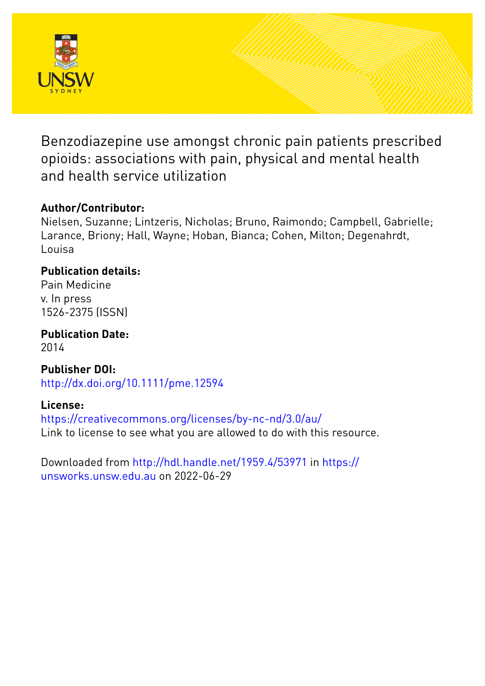

Benzodiazepine use amongst chronic pain patients prescribed opioids: associations with pain, physical and mental health and health service utilization

# **Author/Contributor:**

Nielsen, Suzanne; Lintzeris, Nicholas; Bruno, Raimondo; Campbell, Gabrielle; Larance, Briony; Hall, Wayne; Hoban, Bianca; Cohen, Milton; Degenahrdt, Louisa

# **Publication details:**

Pain Medicine v. In press 1526-2375 (ISSN)

**Publication Date:** 2014

**Publisher DOI:** [http://dx.doi.org/10.1111/pme.12594](http://dx.doi.org/http://dx.doi.org/10.1111/pme.12594)

# **License:**

<https://creativecommons.org/licenses/by-nc-nd/3.0/au/> Link to license to see what you are allowed to do with this resource.

Downloaded from <http://hdl.handle.net/1959.4/53971> in [https://](https://unsworks.unsw.edu.au) [unsworks.unsw.edu.au](https://unsworks.unsw.edu.au) on 2022-06-29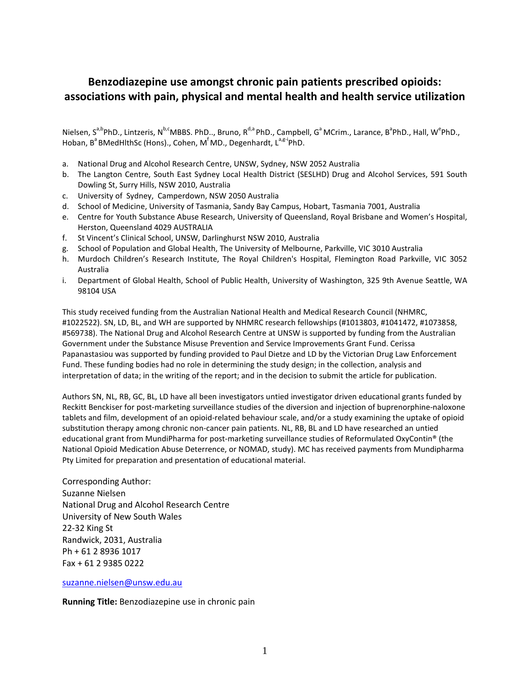## **Benzodiazepine use amongst chronic pain patients prescribed opioids: associations with pain, physical and mental health and health service utilization**

Nielsen, S<sup>a,b</sup>PhD., Lintzeris, N<sup>b,c</sup>MBBS. PhD.., Bruno, R<sup>d,a</sup> PhD., Campbell, G<sup>a</sup> MCrim., Larance, B<sup>a</sup>PhD., Hall, W<sup>e</sup>PhD., Hoban, B<sup>a</sup> BMedHlthSc (Hons)., Cohen, M<sup>f</sup>MD., Degenhardt, L<sup>a,g-i</sup>PhD.

- a. National Drug and Alcohol Research Centre, UNSW, Sydney, NSW 2052 Australia
- b. The Langton Centre, South East Sydney Local Health District (SESLHD) Drug and Alcohol Services, 591 South Dowling St, Surry Hills, NSW 2010, Australia
- c. University of Sydney, Camperdown, NSW 2050 Australia
- d. School of Medicine, University of Tasmania, Sandy Bay Campus, Hobart, Tasmania 7001, Australia
- e. Centre for Youth Substance Abuse Research, University of Queensland, Royal Brisbane and Women's Hospital, Herston, Queensland 4029 AUSTRALIA
- f. St Vincent's Clinical School, UNSW, Darlinghurst NSW 2010, Australia
- g. School of Population and Global Health, The University of Melbourne, Parkville, VIC 3010 Australia
- h. Murdoch Children's Research Institute, The Royal Children's Hospital, Flemington Road Parkville, VIC 3052 Australia
- i. Department of Global Health, School of Public Health, University of Washington, 325 9th Avenue Seattle, WA 98104 USA

This study received funding from the Australian National Health and Medical Research Council (NHMRC, #1022522). SN, LD, BL, and WH are supported by NHMRC research fellowships (#1013803, #1041472, #1073858, #569738). The National Drug and Alcohol Research Centre at UNSW is supported by funding from the Australian Government under the Substance Misuse Prevention and Service Improvements Grant Fund. Cerissa Papanastasiou was supported by funding provided to Paul Dietze and LD by the Victorian Drug Law Enforcement Fund. These funding bodies had no role in determining the study design; in the collection, analysis and interpretation of data; in the writing of the report; and in the decision to submit the article for publication.

Authors SN, NL, RB, GC, BL, LD have all been investigators untied investigator driven educational grants funded by Reckitt Benckiser for post-marketing surveillance studies of the diversion and injection of buprenorphine-naloxone tablets and film, development of an opioid-related behaviour scale, and/or a study examining the uptake of opioid substitution therapy among chronic non-cancer pain patients. NL, RB, BL and LD have researched an untied educational grant from MundiPharma for post-marketing surveillance studies of Reformulated OxyContin® (the National Opioid Medication Abuse Deterrence, or NOMAD, study). MC has received payments from Mundipharma Pty Limited for preparation and presentation of educational material.

Corresponding Author: Suzanne Nielsen National Drug and Alcohol Research Centre University of New South Wales 22-32 King St Randwick, 2031, Australia Ph + 61 2 8936 1017 Fax + 61 2 9385 0222

[suzanne.nielsen@unsw.edu.au](mailto:suzanne.nielsen@unsw.edu.au)

**Running Title:** Benzodiazepine use in chronic pain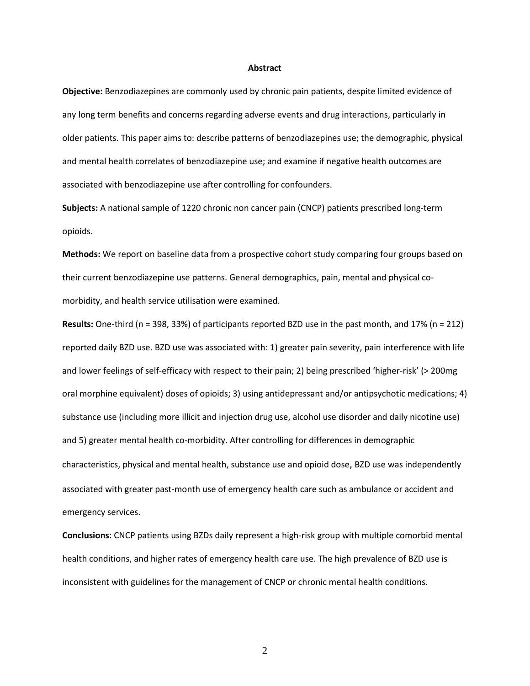#### **Abstract**

**Objective:** Benzodiazepines are commonly used by chronic pain patients, despite limited evidence of any long term benefits and concerns regarding adverse events and drug interactions, particularly in older patients. This paper aims to: describe patterns of benzodiazepines use; the demographic, physical and mental health correlates of benzodiazepine use; and examine if negative health outcomes are associated with benzodiazepine use after controlling for confounders.

**Subjects:** A national sample of 1220 chronic non cancer pain (CNCP) patients prescribed long-term opioids.

**Methods:** We report on baseline data from a prospective cohort study comparing four groups based on their current benzodiazepine use patterns. General demographics, pain, mental and physical comorbidity, and health service utilisation were examined.

**Results:** One-third (n = 398, 33%) of participants reported BZD use in the past month, and 17% (n = 212) reported daily BZD use. BZD use was associated with: 1) greater pain severity, pain interference with life and lower feelings of self-efficacy with respect to their pain; 2) being prescribed 'higher-risk' (> 200mg oral morphine equivalent) doses of opioids; 3) using antidepressant and/or antipsychotic medications; 4) substance use (including more illicit and injection drug use, alcohol use disorder and daily nicotine use) and 5) greater mental health co-morbidity. After controlling for differences in demographic characteristics, physical and mental health, substance use and opioid dose, BZD use was independently associated with greater past-month use of emergency health care such as ambulance or accident and emergency services.

**Conclusions**: CNCP patients using BZDs daily represent a high-risk group with multiple comorbid mental health conditions, and higher rates of emergency health care use. The high prevalence of BZD use is inconsistent with guidelines for the management of CNCP or chronic mental health conditions.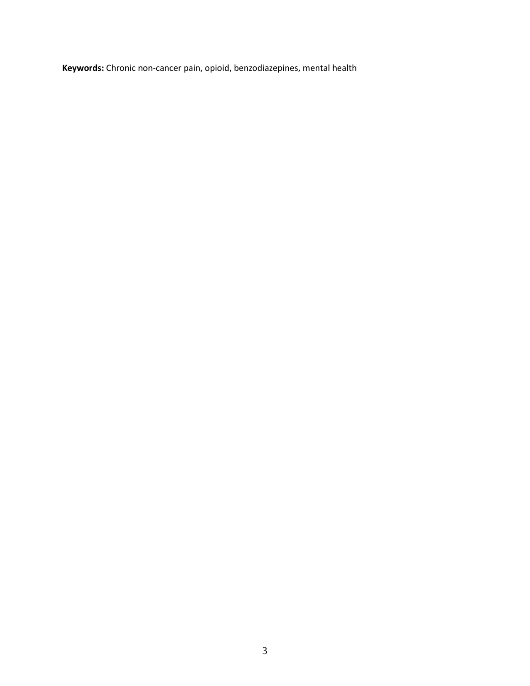**Keywords:** Chronic non-cancer pain, opioid, benzodiazepines, mental health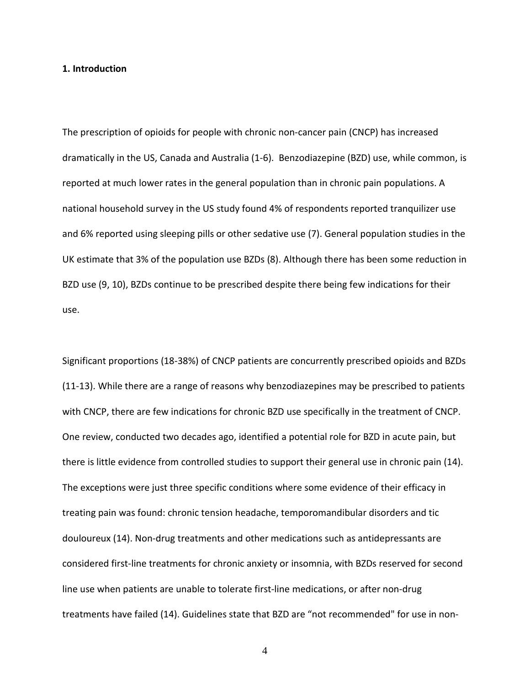#### **1. Introduction**

The prescription of opioids for people with chronic non-cancer pain (CNCP) has increased dramatically in the US, Canada and Australia [\(1-6\)](#page-22-0). Benzodiazepine (BZD) use, while common, is reported at much lower rates in the general population than in chronic pain populations. A national household survey in the US study found 4% of respondents reported tranquilizer use and 6% reported using sleeping pills or other sedative use [\(7\)](#page-22-1). General population studies in the UK estimate that 3% of the population use BZDs [\(8\)](#page-22-2). Although there has been some reduction in BZD use [\(9,](#page-22-3) [10\)](#page-22-4), BZDs continue to be prescribed despite there being few indications for their use.

Significant proportions (18-38%) of CNCP patients are concurrently prescribed opioids and BZDs [\(11-13\)](#page-22-5). While there are a range of reasons why benzodiazepines may be prescribed to patients with CNCP, there are few indications for chronic BZD use specifically in the treatment of CNCP. One review, conducted two decades ago, identified a potential role for BZD in acute pain, but there is little evidence from controlled studies to support their general use in chronic pain [\(14\)](#page-22-6). The exceptions were just three specific conditions where some evidence of their efficacy in treating pain was found: chronic tension headache, temporomandibular disorders and tic douloureux [\(14\)](#page-22-6). Non-drug treatments and other medications such as antidepressants are considered first-line treatments for chronic anxiety or insomnia, with BZDs reserved for second line use when patients are unable to tolerate first-line medications, or after non-drug treatments have failed [\(14\)](#page-22-6). Guidelines state that BZD are "not recommended" for use in non-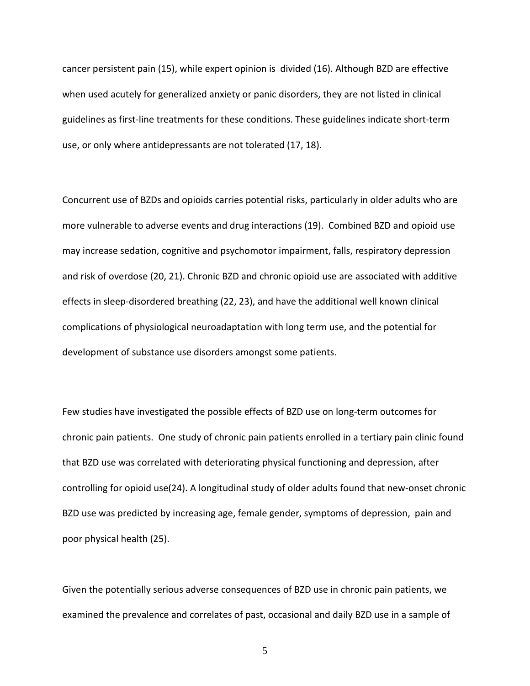cancer persistent pain [\(15\)](#page-22-7), while expert opinion is divided [\(16\)](#page-22-8). Although BZD are effective when used acutely for generalized anxiety or panic disorders, they are not listed in clinical guidelines as first-line treatments for these conditions. These guidelines indicate short-term use, or only where antidepressants are not tolerated [\(17,](#page-23-0) [18\)](#page-23-1).

Concurrent use of BZDs and opioids carries potential risks, particularly in older adults who are more vulnerable to adverse events and drug interactions [\(19\)](#page-23-2). Combined BZD and opioid use may increase sedation, cognitive and psychomotor impairment, falls, respiratory depression and risk of overdose [\(20,](#page-23-3) [21\)](#page-23-4). Chronic BZD and chronic opioid use are associated with additive effects in sleep-disordered breathing [\(22,](#page-23-5) [23\)](#page-23-6), and have the additional well known clinical complications of physiological neuroadaptation with long term use, and the potential for development of substance use disorders amongst some patients.

Few studies have investigated the possible effects of BZD use on long-term outcomes for chronic pain patients. One study of chronic pain patients enrolled in a tertiary pain clinic found that BZD use was correlated with deteriorating physical functioning and depression, after controlling for opioid use[\(24\)](#page-23-7). A longitudinal study of older adults found that new-onset chronic BZD use was predicted by increasing age, female gender, symptoms of depression, pain and poor physical health [\(25\)](#page-23-8).

Given the potentially serious adverse consequences of BZD use in chronic pain patients, we examined the prevalence and correlates of past, occasional and daily BZD use in a sample of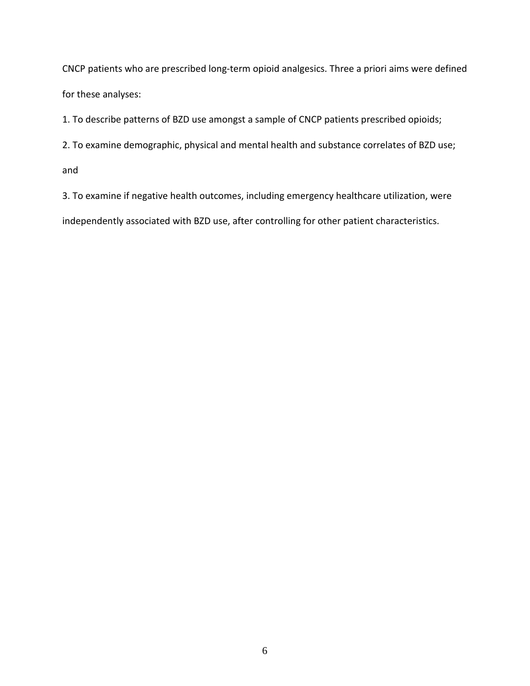CNCP patients who are prescribed long-term opioid analgesics. Three a priori aims were defined for these analyses:

1. To describe patterns of BZD use amongst a sample of CNCP patients prescribed opioids;

2. To examine demographic, physical and mental health and substance correlates of BZD use;

and

3. To examine if negative health outcomes, including emergency healthcare utilization, were independently associated with BZD use, after controlling for other patient characteristics.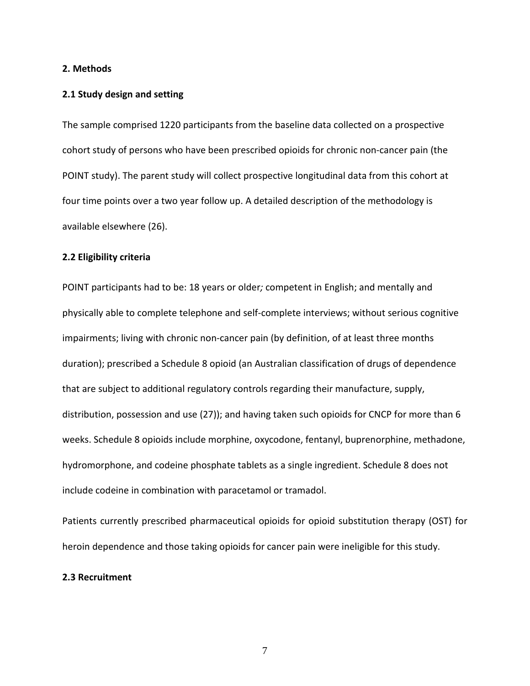## **2. Methods**

#### **2.1 Study design and setting**

The sample comprised 1220 participants from the baseline data collected on a prospective cohort study of persons who have been prescribed opioids for chronic non-cancer pain (the POINT study). The parent study will collect prospective longitudinal data from this cohort at four time points over a two year follow up. A detailed description of the methodology is available elsewhere [\(26\)](#page-23-9).

## **2.2 Eligibility criteria**

POINT participants had to be: 18 years or older*;* competent in English; and mentally and physically able to complete telephone and self-complete interviews; without serious cognitive impairments; living with chronic non-cancer pain (by definition, of at least three months duration); prescribed a Schedule 8 opioid (an Australian classification of drugs of dependence that are subject to additional regulatory controls regarding their manufacture, supply, distribution, possession and use [\(27\)](#page-23-10)); and having taken such opioids for CNCP for more than 6 weeks. Schedule 8 opioids include morphine, oxycodone, fentanyl, buprenorphine, methadone, hydromorphone, and codeine phosphate tablets as a single ingredient. Schedule 8 does not include codeine in combination with paracetamol or tramadol.

Patients currently prescribed pharmaceutical opioids for opioid substitution therapy (OST) for heroin dependence and those taking opioids for cancer pain were ineligible for this study.

## **2.3 Recruitment**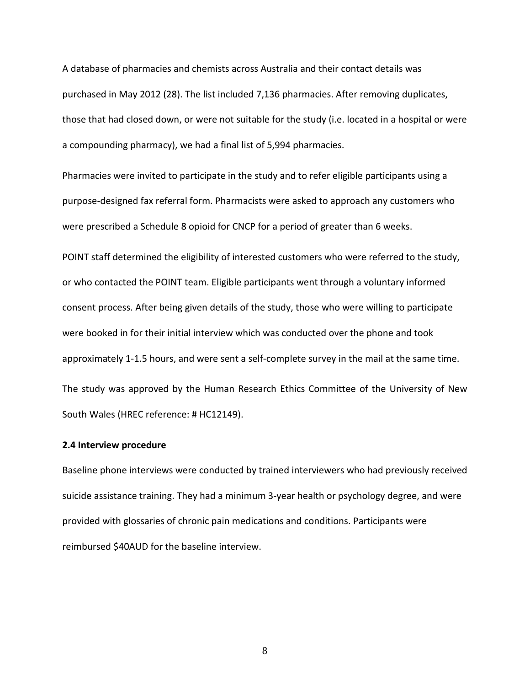A database of pharmacies and chemists across Australia and their contact details was purchased in May 2012 [\(28\)](#page-23-11). The list included 7,136 pharmacies. After removing duplicates, those that had closed down, or were not suitable for the study (i.e. located in a hospital or were a compounding pharmacy), we had a final list of 5,994 pharmacies.

Pharmacies were invited to participate in the study and to refer eligible participants using a purpose-designed fax referral form. Pharmacists were asked to approach any customers who were prescribed a Schedule 8 opioid for CNCP for a period of greater than 6 weeks.

POINT staff determined the eligibility of interested customers who were referred to the study, or who contacted the POINT team. Eligible participants went through a voluntary informed consent process. After being given details of the study, those who were willing to participate were booked in for their initial interview which was conducted over the phone and took approximately 1-1.5 hours, and were sent a self-complete survey in the mail at the same time. The study was approved by the Human Research Ethics Committee of the University of New South Wales (HREC reference: # HC12149).

## **2.4 Interview procedure**

Baseline phone interviews were conducted by trained interviewers who had previously received suicide assistance training. They had a minimum 3-year health or psychology degree, and were provided with glossaries of chronic pain medications and conditions. Participants were reimbursed \$40AUD for the baseline interview.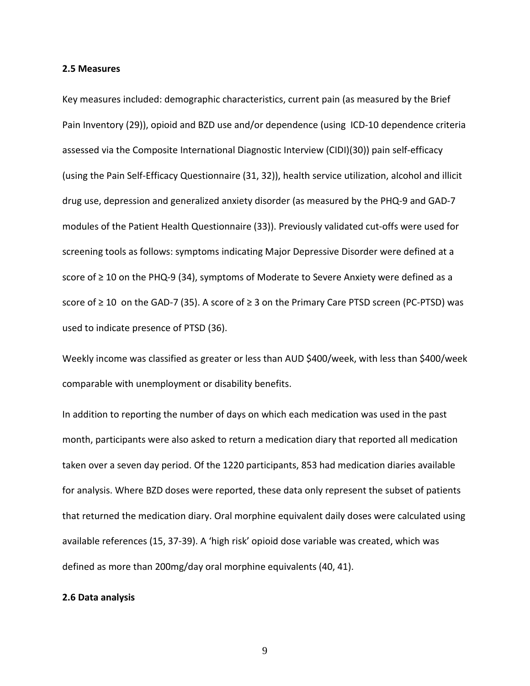#### **2.5 Measures**

Key measures included: demographic characteristics, current pain (as measured by the Brief Pain Inventory [\(29\)](#page-23-12)), opioid and BZD use and/or dependence (using ICD-10 dependence criteria assessed via the Composite International Diagnostic Interview (CIDI)[\(30\)](#page-23-13)) pain self-efficacy (using the Pain Self-Efficacy Questionnaire [\(31,](#page-23-14) [32\)](#page-23-15)), health service utilization, alcohol and illicit drug use, depression and generalized anxiety disorder (as measured by the PHQ-9 and GAD-7 modules of the Patient Health Questionnaire [\(33\)](#page-23-16)). Previously validated cut-offs were used for screening tools as follows: symptoms indicating Major Depressive Disorder were defined at a score of ≥ 10 on the PHQ-9 [\(34\)](#page-23-17), symptoms of Moderate to Severe Anxiety were defined as a score of ≥ 10 on the GAD-7 [\(35\)](#page-23-18). A score of ≥ 3 on the Primary Care PTSD screen (PC-PTSD) was used to indicate presence of PTSD [\(36\)](#page-23-19).

Weekly income was classified as greater or less than AUD \$400/week, with less than \$400/week comparable with unemployment or disability benefits.

In addition to reporting the number of days on which each medication was used in the past month, participants were also asked to return a medication diary that reported all medication taken over a seven day period. Of the 1220 participants, 853 had medication diaries available for analysis. Where BZD doses were reported, these data only represent the subset of patients that returned the medication diary. Oral morphine equivalent daily doses were calculated using available references [\(15,](#page-22-7) [37-39\)](#page-23-20). A 'high risk' opioid dose variable was created, which was defined as more than 200mg/day oral morphine equivalents [\(40,](#page-24-0) [41\)](#page-24-1).

## **2.6 Data analysis**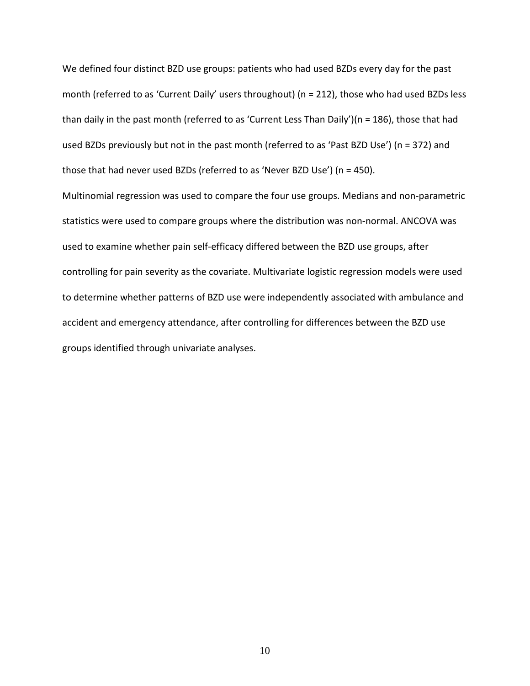We defined four distinct BZD use groups: patients who had used BZDs every day for the past month (referred to as 'Current Daily' users throughout) (n = 212), those who had used BZDs less than daily in the past month (referred to as 'Current Less Than Daily')(n = 186), those that had used BZDs previously but not in the past month (referred to as 'Past BZD Use') (n = 372) and those that had never used BZDs (referred to as 'Never BZD Use') (n = 450).

Multinomial regression was used to compare the four use groups. Medians and non-parametric statistics were used to compare groups where the distribution was non-normal. ANCOVA was used to examine whether pain self-efficacy differed between the BZD use groups, after controlling for pain severity as the covariate. Multivariate logistic regression models were used to determine whether patterns of BZD use were independently associated with ambulance and accident and emergency attendance, after controlling for differences between the BZD use groups identified through univariate analyses.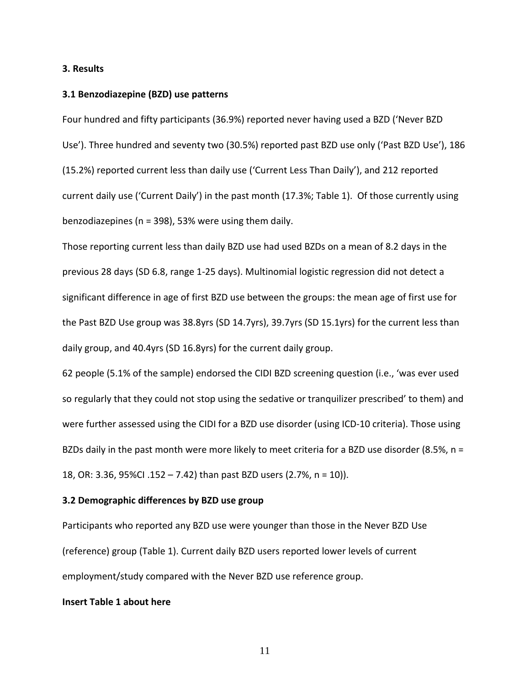## **3. Results**

#### **3.1 Benzodiazepine (BZD) use patterns**

Four hundred and fifty participants (36.9%) reported never having used a BZD ('Never BZD Use'). Three hundred and seventy two (30.5%) reported past BZD use only ('Past BZD Use'), 186 (15.2%) reported current less than daily use ('Current Less Than Daily'), and 212 reported current daily use ('Current Daily') in the past month (17.3%; Table 1). Of those currently using benzodiazepines (n = 398), 53% were using them daily.

Those reporting current less than daily BZD use had used BZDs on a mean of 8.2 days in the previous 28 days (SD 6.8, range 1-25 days). Multinomial logistic regression did not detect a significant difference in age of first BZD use between the groups: the mean age of first use for the Past BZD Use group was 38.8yrs (SD 14.7yrs), 39.7yrs (SD 15.1yrs) for the current less than daily group, and 40.4yrs (SD 16.8yrs) for the current daily group.

62 people (5.1% of the sample) endorsed the CIDI BZD screening question (i.e., 'was ever used so regularly that they could not stop using the sedative or tranquilizer prescribed' to them) and were further assessed using the CIDI for a BZD use disorder (using ICD-10 criteria). Those using BZDs daily in the past month were more likely to meet criteria for a BZD use disorder (8.5%, n = 18, OR: 3.36, 95%CI .152 – 7.42) than past BZD users (2.7%, n = 10)).

## **3.2 Demographic differences by BZD use group**

Participants who reported any BZD use were younger than those in the Never BZD Use (reference) group (Table 1). Current daily BZD users reported lower levels of current employment/study compared with the Never BZD use reference group.

## **Insert Table 1 about here**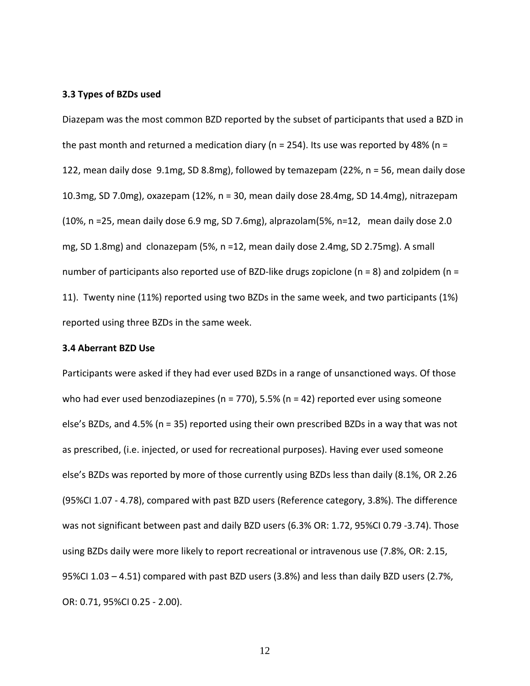#### **3.3 Types of BZDs used**

Diazepam was the most common BZD reported by the subset of participants that used a BZD in the past month and returned a medication diary ( $n = 254$ ). Its use was reported by 48% ( $n =$ 122, mean daily dose 9.1mg, SD 8.8mg), followed by temazepam (22%, n = 56, mean daily dose 10.3mg, SD 7.0mg), oxazepam (12%, n = 30, mean daily dose 28.4mg, SD 14.4mg), nitrazepam (10%, n =25, mean daily dose 6.9 mg, SD 7.6mg), alprazolam(5%, n=12, mean daily dose 2.0 mg, SD 1.8mg) and clonazepam (5%, n =12, mean daily dose 2.4mg, SD 2.75mg). A small number of participants also reported use of BZD-like drugs zopiclone (n = 8) and zolpidem (n = 11). Twenty nine (11%) reported using two BZDs in the same week, and two participants (1%) reported using three BZDs in the same week.

### **3.4 Aberrant BZD Use**

Participants were asked if they had ever used BZDs in a range of unsanctioned ways. Of those who had ever used benzodiazepines ( $n = 770$ ), 5.5% ( $n = 42$ ) reported ever using someone else's BZDs, and 4.5% (n = 35) reported using their own prescribed BZDs in a way that was not as prescribed, (i.e. injected, or used for recreational purposes). Having ever used someone else's BZDs was reported by more of those currently using BZDs less than daily (8.1%, OR 2.26 (95%CI 1.07 - 4.78), compared with past BZD users (Reference category, 3.8%). The difference was not significant between past and daily BZD users (6.3% OR: 1.72, 95%CI 0.79 -3.74). Those using BZDs daily were more likely to report recreational or intravenous use (7.8%, OR: 2.15, 95%CI 1.03 – 4.51) compared with past BZD users (3.8%) and less than daily BZD users (2.7%, OR: 0.71, 95%CI 0.25 - 2.00).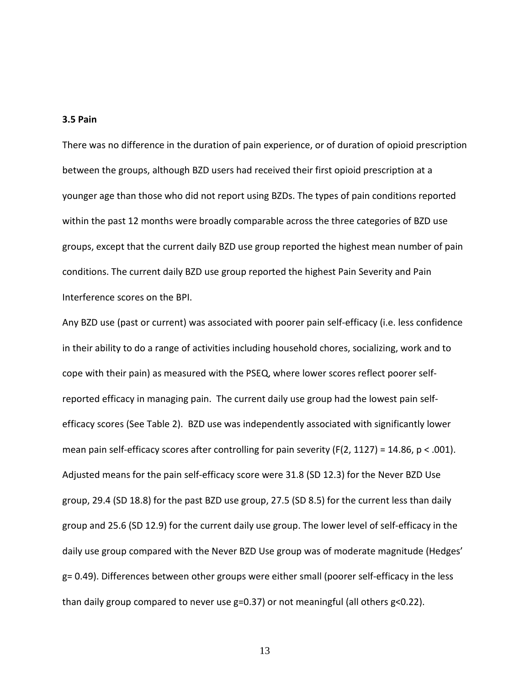## **3.5 Pain**

There was no difference in the duration of pain experience, or of duration of opioid prescription between the groups, although BZD users had received their first opioid prescription at a younger age than those who did not report using BZDs. The types of pain conditions reported within the past 12 months were broadly comparable across the three categories of BZD use groups, except that the current daily BZD use group reported the highest mean number of pain conditions. The current daily BZD use group reported the highest Pain Severity and Pain Interference scores on the BPI.

Any BZD use (past or current) was associated with poorer pain self-efficacy (i.e. less confidence in their ability to do a range of activities including household chores, socializing, work and to cope with their pain) as measured with the PSEQ, where lower scores reflect poorer selfreported efficacy in managing pain. The current daily use group had the lowest pain selfefficacy scores (See Table 2). BZD use was independently associated with significantly lower mean pain self-efficacy scores after controlling for pain severity (F(2, 1127) = 14.86,  $p < .001$ ). Adjusted means for the pain self-efficacy score were 31.8 (SD 12.3) for the Never BZD Use group, 29.4 (SD 18.8) for the past BZD use group, 27.5 (SD 8.5) for the current less than daily group and 25.6 (SD 12.9) for the current daily use group. The lower level of self-efficacy in the daily use group compared with the Never BZD Use group was of moderate magnitude (Hedges' g= 0.49). Differences between other groups were either small (poorer self-efficacy in the less than daily group compared to never use g=0.37) or not meaningful (all others g<0.22).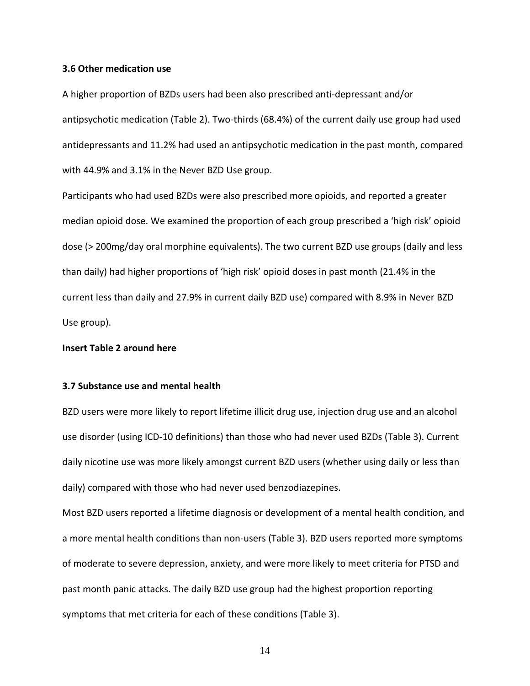## **3.6 Other medication use**

A higher proportion of BZDs users had been also prescribed anti-depressant and/or antipsychotic medication (Table 2). Two-thirds (68.4%) of the current daily use group had used antidepressants and 11.2% had used an antipsychotic medication in the past month, compared with 44.9% and 3.1% in the Never BZD Use group.

Participants who had used BZDs were also prescribed more opioids, and reported a greater median opioid dose. We examined the proportion of each group prescribed a 'high risk' opioid dose (> 200mg/day oral morphine equivalents). The two current BZD use groups (daily and less than daily) had higher proportions of 'high risk' opioid doses in past month (21.4% in the current less than daily and 27.9% in current daily BZD use) compared with 8.9% in Never BZD Use group).

**Insert Table 2 around here**

## **3.7 Substance use and mental health**

BZD users were more likely to report lifetime illicit drug use, injection drug use and an alcohol use disorder (using ICD-10 definitions) than those who had never used BZDs (Table 3). Current daily nicotine use was more likely amongst current BZD users (whether using daily or less than daily) compared with those who had never used benzodiazepines.

Most BZD users reported a lifetime diagnosis or development of a mental health condition, and a more mental health conditions than non-users (Table 3). BZD users reported more symptoms of moderate to severe depression, anxiety, and were more likely to meet criteria for PTSD and past month panic attacks. The daily BZD use group had the highest proportion reporting symptoms that met criteria for each of these conditions (Table 3).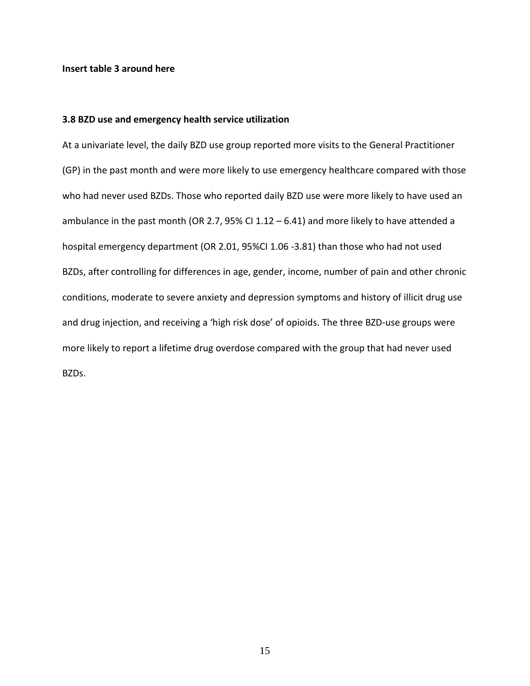## **Insert table 3 around here**

## **3.8 BZD use and emergency health service utilization**

At a univariate level, the daily BZD use group reported more visits to the General Practitioner (GP) in the past month and were more likely to use emergency healthcare compared with those who had never used BZDs. Those who reported daily BZD use were more likely to have used an ambulance in the past month (OR 2.7, 95% CI 1.12 – 6.41) and more likely to have attended a hospital emergency department (OR 2.01, 95%CI 1.06 -3.81) than those who had not used BZDs, after controlling for differences in age, gender, income, number of pain and other chronic conditions, moderate to severe anxiety and depression symptoms and history of illicit drug use and drug injection, and receiving a 'high risk dose' of opioids. The three BZD-use groups were more likely to report a lifetime drug overdose compared with the group that had never used BZDs.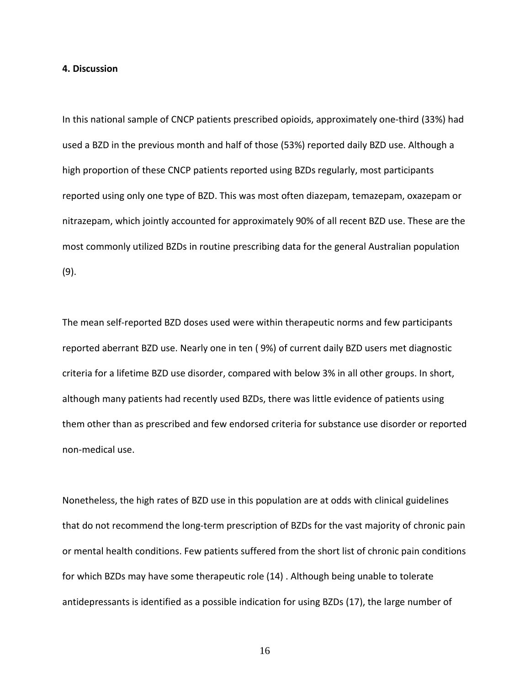## **4. Discussion**

In this national sample of CNCP patients prescribed opioids, approximately one-third (33%) had used a BZD in the previous month and half of those (53%) reported daily BZD use. Although a high proportion of these CNCP patients reported using BZDs regularly, most participants reported using only one type of BZD. This was most often diazepam, temazepam, oxazepam or nitrazepam, which jointly accounted for approximately 90% of all recent BZD use. These are the most commonly utilized BZDs in routine prescribing data for the general Australian population [\(9\)](#page-22-3).

The mean self-reported BZD doses used were within therapeutic norms and few participants reported aberrant BZD use. Nearly one in ten ( 9%) of current daily BZD users met diagnostic criteria for a lifetime BZD use disorder, compared with below 3% in all other groups. In short, although many patients had recently used BZDs, there was little evidence of patients using them other than as prescribed and few endorsed criteria for substance use disorder or reported non-medical use.

Nonetheless, the high rates of BZD use in this population are at odds with clinical guidelines that do not recommend the long-term prescription of BZDs for the vast majority of chronic pain or mental health conditions. Few patients suffered from the short list of chronic pain conditions for which BZDs may have some therapeutic role [\(14\)](#page-22-6) . Although being unable to tolerate antidepressants is identified as a possible indication for using BZDs [\(17\)](#page-23-0), the large number of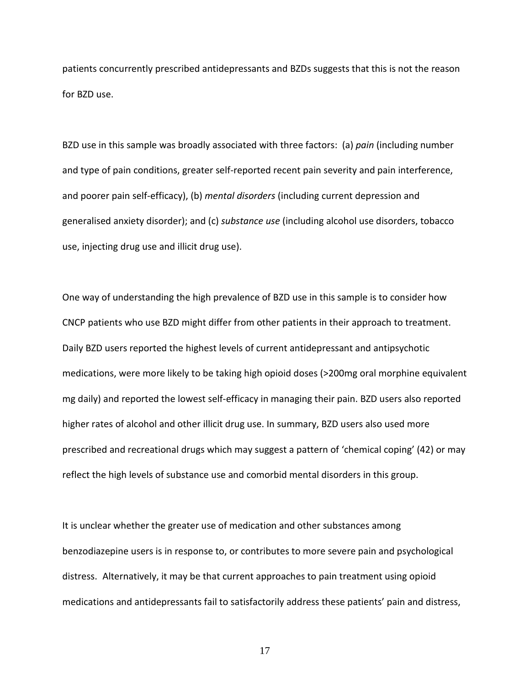patients concurrently prescribed antidepressants and BZDs suggests that this is not the reason for BZD use.

BZD use in this sample was broadly associated with three factors: (a) *pain* (including number and type of pain conditions, greater self-reported recent pain severity and pain interference, and poorer pain self-efficacy), (b) *mental disorders* (including current depression and generalised anxiety disorder); and (c) *substance use* (including alcohol use disorders, tobacco use, injecting drug use and illicit drug use).

One way of understanding the high prevalence of BZD use in this sample is to consider how CNCP patients who use BZD might differ from other patients in their approach to treatment. Daily BZD users reported the highest levels of current antidepressant and antipsychotic medications, were more likely to be taking high opioid doses (>200mg oral morphine equivalent mg daily) and reported the lowest self-efficacy in managing their pain. BZD users also reported higher rates of alcohol and other illicit drug use. In summary, BZD users also used more prescribed and recreational drugs which may suggest a pattern of 'chemical coping' [\(42\)](#page-24-2) or may reflect the high levels of substance use and comorbid mental disorders in this group.

It is unclear whether the greater use of medication and other substances among benzodiazepine users is in response to, or contributes to more severe pain and psychological distress. Alternatively, it may be that current approaches to pain treatment using opioid medications and antidepressants fail to satisfactorily address these patients' pain and distress,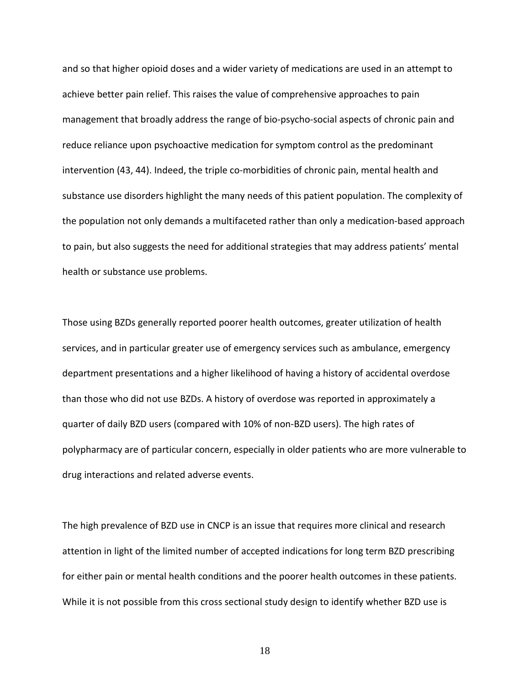and so that higher opioid doses and a wider variety of medications are used in an attempt to achieve better pain relief. This raises the value of comprehensive approaches to pain management that broadly address the range of bio-psycho-social aspects of chronic pain and reduce reliance upon psychoactive medication for symptom control as the predominant intervention [\(43,](#page-24-3) [44\)](#page-24-4). Indeed, the triple co-morbidities of chronic pain, mental health and substance use disorders highlight the many needs of this patient population. The complexity of the population not only demands a multifaceted rather than only a medication-based approach to pain, but also suggests the need for additional strategies that may address patients' mental health or substance use problems.

Those using BZDs generally reported poorer health outcomes, greater utilization of health services, and in particular greater use of emergency services such as ambulance, emergency department presentations and a higher likelihood of having a history of accidental overdose than those who did not use BZDs. A history of overdose was reported in approximately a quarter of daily BZD users (compared with 10% of non-BZD users). The high rates of polypharmacy are of particular concern, especially in older patients who are more vulnerable to drug interactions and related adverse events.

The high prevalence of BZD use in CNCP is an issue that requires more clinical and research attention in light of the limited number of accepted indications for long term BZD prescribing for either pain or mental health conditions and the poorer health outcomes in these patients. While it is not possible from this cross sectional study design to identify whether BZD use is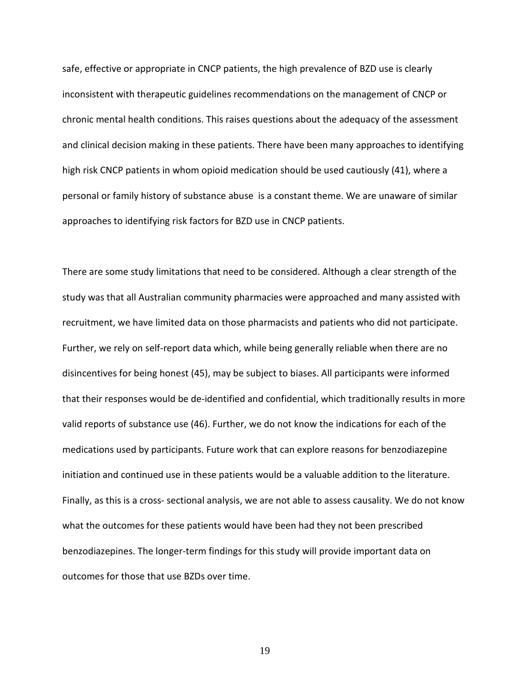safe, effective or appropriate in CNCP patients, the high prevalence of BZD use is clearly inconsistent with therapeutic guidelines recommendations on the management of CNCP or chronic mental health conditions. This raises questions about the adequacy of the assessment and clinical decision making in these patients. There have been many approaches to identifying high risk CNCP patients in whom opioid medication should be used cautiously [\(41\)](#page-24-1), where a personal or family history of substance abuse is a constant theme. We are unaware of similar approaches to identifying risk factors for BZD use in CNCP patients.

There are some study limitations that need to be considered. Although a clear strength of the study was that all Australian community pharmacies were approached and many assisted with recruitment, we have limited data on those pharmacists and patients who did not participate. Further, we rely on self-report data which, while being generally reliable when there are no disincentives for being honest [\(45\)](#page-24-5), may be subject to biases. All participants were informed that their responses would be de-identified and confidential, which traditionally results in more valid reports of substance use [\(46\)](#page-24-6). Further, we do not know the indications for each of the medications used by participants. Future work that can explore reasons for benzodiazepine initiation and continued use in these patients would be a valuable addition to the literature. Finally, as this is a cross- sectional analysis, we are not able to assess causality. We do not know what the outcomes for these patients would have been had they not been prescribed benzodiazepines. The longer-term findings for this study will provide important data on outcomes for those that use BZDs over time.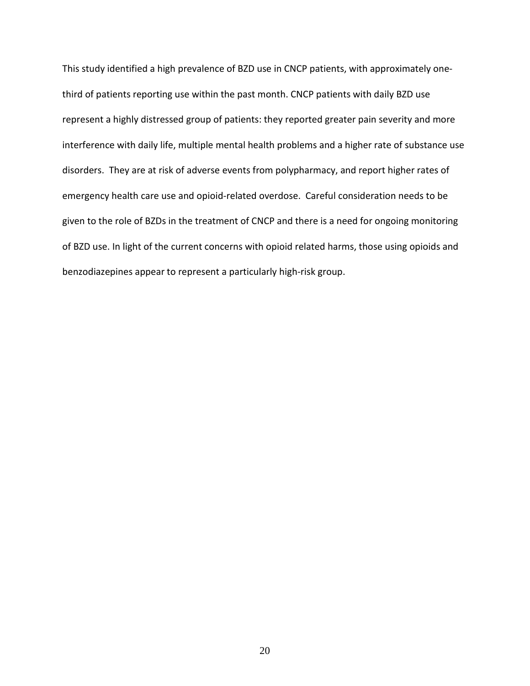This study identified a high prevalence of BZD use in CNCP patients, with approximately onethird of patients reporting use within the past month. CNCP patients with daily BZD use represent a highly distressed group of patients: they reported greater pain severity and more interference with daily life, multiple mental health problems and a higher rate of substance use disorders. They are at risk of adverse events from polypharmacy, and report higher rates of emergency health care use and opioid-related overdose. Careful consideration needs to be given to the role of BZDs in the treatment of CNCP and there is a need for ongoing monitoring of BZD use. In light of the current concerns with opioid related harms, those using opioids and benzodiazepines appear to represent a particularly high-risk group.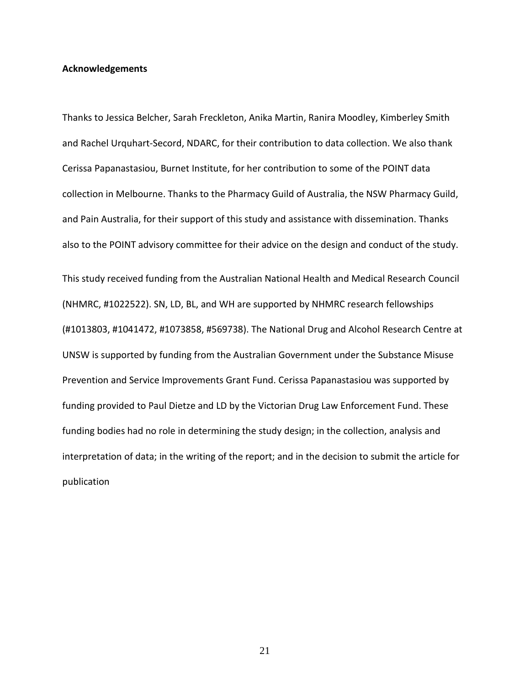## **Acknowledgements**

Thanks to Jessica Belcher, Sarah Freckleton, Anika Martin, Ranira Moodley, Kimberley Smith and Rachel Urquhart-Secord, NDARC, for their contribution to data collection. We also thank Cerissa Papanastasiou, Burnet Institute, for her contribution to some of the POINT data collection in Melbourne. Thanks to the Pharmacy Guild of Australia, the NSW Pharmacy Guild, and Pain Australia, for their support of this study and assistance with dissemination. Thanks also to the POINT advisory committee for their advice on the design and conduct of the study. This study received funding from the Australian National Health and Medical Research Council (NHMRC, #1022522). SN, LD, BL, and WH are supported by NHMRC research fellowships (#1013803, #1041472, #1073858, #569738). The National Drug and Alcohol Research Centre at UNSW is supported by funding from the Australian Government under the Substance Misuse Prevention and Service Improvements Grant Fund. Cerissa Papanastasiou was supported by funding provided to Paul Dietze and LD by the Victorian Drug Law Enforcement Fund. These funding bodies had no role in determining the study design; in the collection, analysis and interpretation of data; in the writing of the report; and in the decision to submit the article for publication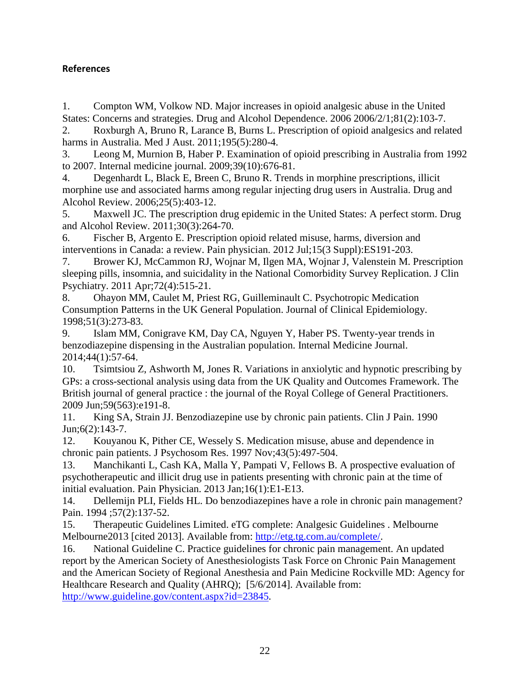## **References**

<span id="page-22-0"></span>1. Compton WM, Volkow ND. Major increases in opioid analgesic abuse in the United States: Concerns and strategies. Drug and Alcohol Dependence. 2006 2006/2/1;81(2):103-7.

2. Roxburgh A, Bruno R, Larance B, Burns L. Prescription of opioid analgesics and related harms in Australia. Med J Aust. 2011;195(5):280-4.

3. Leong M, Murnion B, Haber P. Examination of opioid prescribing in Australia from 1992 to 2007. Internal medicine journal. 2009;39(10):676-81.

4. Degenhardt L, Black E, Breen C, Bruno R. Trends in morphine prescriptions, illicit morphine use and associated harms among regular injecting drug users in Australia. Drug and Alcohol Review. 2006;25(5):403-12.

5. Maxwell JC. The prescription drug epidemic in the United States: A perfect storm. Drug and Alcohol Review. 2011;30(3):264-70.

6. Fischer B, Argento E. Prescription opioid related misuse, harms, diversion and interventions in Canada: a review. Pain physician. 2012 Jul;15(3 Suppl):ES191-203.

<span id="page-22-1"></span>7. Brower KJ, McCammon RJ, Wojnar M, Ilgen MA, Wojnar J, Valenstein M. Prescription sleeping pills, insomnia, and suicidality in the National Comorbidity Survey Replication. J Clin Psychiatry. 2011 Apr;72(4):515-21.

<span id="page-22-2"></span>8. Ohayon MM, Caulet M, Priest RG, Guilleminault C. Psychotropic Medication Consumption Patterns in the UK General Population. Journal of Clinical Epidemiology. 1998;51(3):273-83.

<span id="page-22-3"></span>9. Islam MM, Conigrave KM, Day CA, Nguyen Y, Haber PS. Twenty-year trends in benzodiazepine dispensing in the Australian population. Internal Medicine Journal. 2014;44(1):57-64.

<span id="page-22-4"></span>10. Tsimtsiou Z, Ashworth M, Jones R. Variations in anxiolytic and hypnotic prescribing by GPs: a cross-sectional analysis using data from the UK Quality and Outcomes Framework. The British journal of general practice : the journal of the Royal College of General Practitioners. 2009 Jun;59(563):e191-8.

<span id="page-22-5"></span>11. King SA, Strain JJ. Benzodiazepine use by chronic pain patients. Clin J Pain. 1990 Jun;6(2):143-7.

12. Kouyanou K, Pither CE, Wessely S. Medication misuse, abuse and dependence in chronic pain patients. J Psychosom Res. 1997 Nov;43(5):497-504.

13. Manchikanti L, Cash KA, Malla Y, Pampati V, Fellows B. A prospective evaluation of psychotherapeutic and illicit drug use in patients presenting with chronic pain at the time of initial evaluation. Pain Physician. 2013 Jan;16(1):E1-E13.

<span id="page-22-6"></span>14. Dellemijn PLI, Fields HL. Do benzodiazepines have a role in chronic pain management? Pain. 1994 ;57(2):137-52.

<span id="page-22-7"></span>15. Therapeutic Guidelines Limited. eTG complete: Analgesic Guidelines . Melbourne Melbourne2013 [cited 2013]. Available from: [http://etg.tg.com.au/complete/.](http://etg.tg.com.au/complete/)

<span id="page-22-8"></span>16. National Guideline C. Practice guidelines for chronic pain management. An updated report by the American Society of Anesthesiologists Task Force on Chronic Pain Management and the American Society of Regional Anesthesia and Pain Medicine Rockville MD: Agency for Healthcare Research and Quality (AHRQ); [5/6/2014]. Available from: [http://www.guideline.gov/content.aspx?id=23845.](http://www.guideline.gov/content.aspx?id=23845)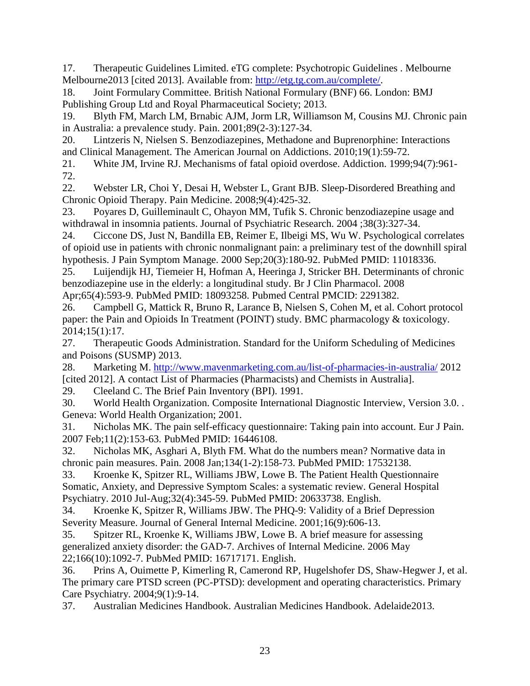<span id="page-23-0"></span>17. Therapeutic Guidelines Limited. eTG complete: Psychotropic Guidelines . Melbourne Melbourne2013 [cited 2013]. Available from: [http://etg.tg.com.au/complete/.](http://etg.tg.com.au/complete/)

<span id="page-23-1"></span>18. Joint Formulary Committee. British National Formulary (BNF) 66. London: BMJ Publishing Group Ltd and Royal Pharmaceutical Society; 2013.

<span id="page-23-2"></span>19. Blyth FM, March LM, Brnabic AJM, Jorm LR, Williamson M, Cousins MJ. Chronic pain in Australia: a prevalence study. Pain. 2001;89(2-3):127-34.

<span id="page-23-3"></span>20. Lintzeris N, Nielsen S. Benzodiazepines, Methadone and Buprenorphine: Interactions and Clinical Management. The American Journal on Addictions. 2010;19(1):59-72.

<span id="page-23-4"></span>21. White JM, Irvine RJ. Mechanisms of fatal opioid overdose. Addiction. 1999;94(7):961- 72.

<span id="page-23-5"></span>22. Webster LR, Choi Y, Desai H, Webster L, Grant BJB. Sleep-Disordered Breathing and Chronic Opioid Therapy. Pain Medicine. 2008;9(4):425-32.

<span id="page-23-6"></span>23. Poyares D, Guilleminault C, Ohayon MM, Tufik S. Chronic benzodiazepine usage and withdrawal in insomnia patients. Journal of Psychiatric Research. 2004 ;38(3):327-34.

<span id="page-23-7"></span>24. Ciccone DS, Just N, Bandilla EB, Reimer E, Ilbeigi MS, Wu W. Psychological correlates of opioid use in patients with chronic nonmalignant pain: a preliminary test of the downhill spiral hypothesis. J Pain Symptom Manage. 2000 Sep;20(3):180-92. PubMed PMID: 11018336.

<span id="page-23-8"></span>25. Luijendijk HJ, Tiemeier H, Hofman A, Heeringa J, Stricker BH. Determinants of chronic benzodiazepine use in the elderly: a longitudinal study. Br J Clin Pharmacol. 2008

Apr;65(4):593-9. PubMed PMID: 18093258. Pubmed Central PMCID: 2291382.

<span id="page-23-9"></span>26. Campbell G, Mattick R, Bruno R, Larance B, Nielsen S, Cohen M, et al. Cohort protocol paper: the Pain and Opioids In Treatment (POINT) study. BMC pharmacology & toxicology. 2014;15(1):17.

<span id="page-23-10"></span>27. Therapeutic Goods Administration. Standard for the Uniform Scheduling of Medicines and Poisons (SUSMP) 2013.

<span id="page-23-11"></span>28. Marketing M.<http://www.mavenmarketing.com.au/list-of-pharmacies-in-australia/> 2012 [cited 2012]. A contact List of Pharmacies (Pharmacists) and Chemists in Australia].

<span id="page-23-12"></span>29. Cleeland C. The Brief Pain Inventory (BPI). 1991.

<span id="page-23-13"></span>30. World Health Organization. Composite International Diagnostic Interview, Version 3.0. . Geneva: World Health Organization; 2001.

<span id="page-23-14"></span>31. Nicholas MK. The pain self-efficacy questionnaire: Taking pain into account. Eur J Pain. 2007 Feb;11(2):153-63. PubMed PMID: 16446108.

<span id="page-23-15"></span>32. Nicholas MK, Asghari A, Blyth FM. What do the numbers mean? Normative data in chronic pain measures. Pain. 2008 Jan;134(1-2):158-73. PubMed PMID: 17532138.

<span id="page-23-16"></span>33. Kroenke K, Spitzer RL, Williams JBW, Lowe B. The Patient Health Questionnaire Somatic, Anxiety, and Depressive Symptom Scales: a systematic review. General Hospital Psychiatry. 2010 Jul-Aug;32(4):345-59. PubMed PMID: 20633738. English.

<span id="page-23-17"></span>34. Kroenke K, Spitzer R, Williams JBW. The PHQ-9: Validity of a Brief Depression Severity Measure. Journal of General Internal Medicine. 2001;16(9):606-13.

<span id="page-23-18"></span>35. Spitzer RL, Kroenke K, Williams JBW, Lowe B. A brief measure for assessing generalized anxiety disorder: the GAD-7. Archives of Internal Medicine. 2006 May 22;166(10):1092-7. PubMed PMID: 16717171. English.

<span id="page-23-19"></span>36. Prins A, Ouimette P, Kimerling R, Camerond RP, Hugelshofer DS, Shaw-Hegwer J, et al. The primary care PTSD screen (PC-PTSD): development and operating characteristics. Primary Care Psychiatry. 2004;9(1):9-14.

<span id="page-23-20"></span>37. Australian Medicines Handbook. Australian Medicines Handbook. Adelaide2013.